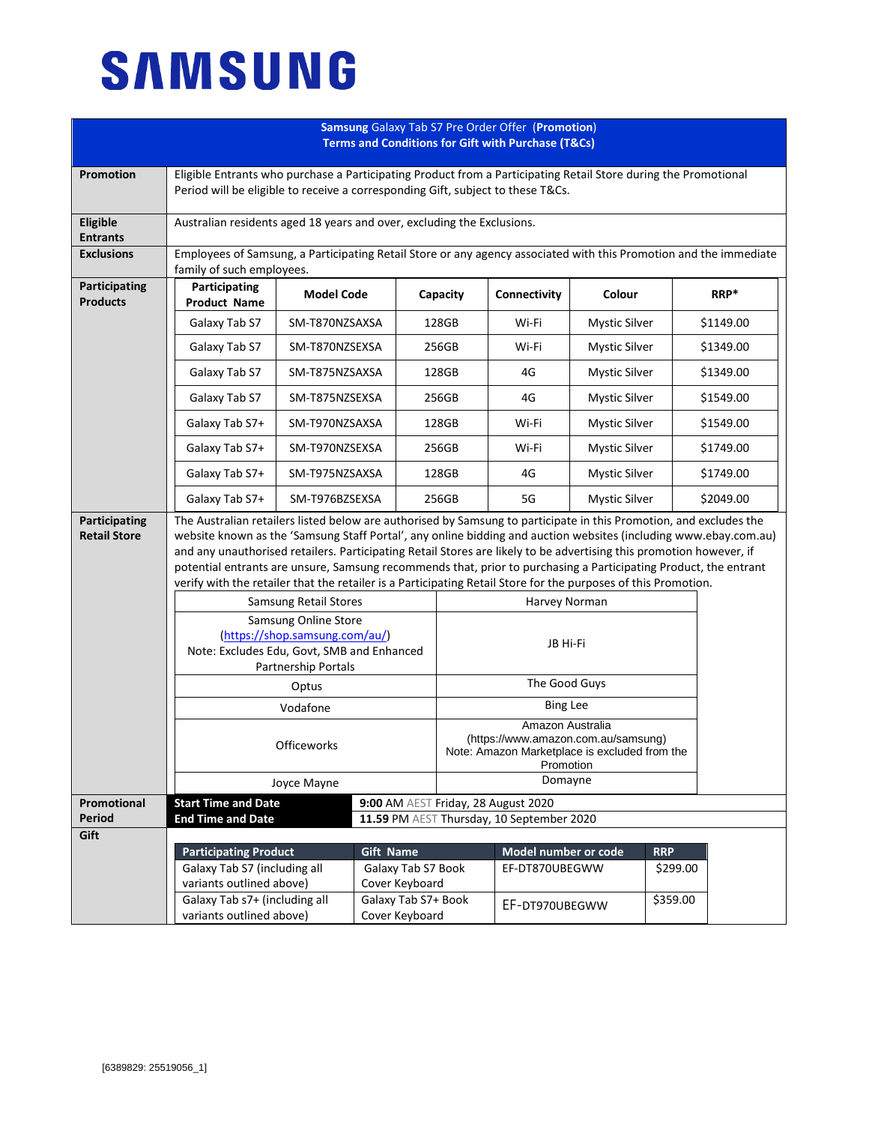## **SAMSUNG**

| <b>Samsung Galaxy Tab S7 Pre Order Offer (Promotion)</b><br><b>Terms and Conditions for Gift with Purchase (T&amp;Cs)</b> |                                                                                                                                                                                                                                                                                                                                                                                                                                                                                                                                                                                                     |                            |                    |                                                                                                                       |                                                                                  |                      |            |           |  |
|---------------------------------------------------------------------------------------------------------------------------|-----------------------------------------------------------------------------------------------------------------------------------------------------------------------------------------------------------------------------------------------------------------------------------------------------------------------------------------------------------------------------------------------------------------------------------------------------------------------------------------------------------------------------------------------------------------------------------------------------|----------------------------|--------------------|-----------------------------------------------------------------------------------------------------------------------|----------------------------------------------------------------------------------|----------------------|------------|-----------|--|
| Promotion                                                                                                                 | Eligible Entrants who purchase a Participating Product from a Participating Retail Store during the Promotional<br>Period will be eligible to receive a corresponding Gift, subject to these T&Cs.                                                                                                                                                                                                                                                                                                                                                                                                  |                            |                    |                                                                                                                       |                                                                                  |                      |            |           |  |
| Eligible<br><b>Entrants</b>                                                                                               | Australian residents aged 18 years and over, excluding the Exclusions.                                                                                                                                                                                                                                                                                                                                                                                                                                                                                                                              |                            |                    |                                                                                                                       |                                                                                  |                      |            |           |  |
| <b>Exclusions</b>                                                                                                         | Employees of Samsung, a Participating Retail Store or any agency associated with this Promotion and the immediate<br>family of such employees.                                                                                                                                                                                                                                                                                                                                                                                                                                                      |                            |                    |                                                                                                                       |                                                                                  |                      |            |           |  |
| Participating<br><b>Products</b>                                                                                          | Participating<br><b>Product Name</b>                                                                                                                                                                                                                                                                                                                                                                                                                                                                                                                                                                | <b>Model Code</b>          |                    | Capacity                                                                                                              | Connectivity                                                                     | Colour               |            | RRP*      |  |
|                                                                                                                           | Galaxy Tab S7                                                                                                                                                                                                                                                                                                                                                                                                                                                                                                                                                                                       | SM-T870NZSAXSA             |                    | 128GB                                                                                                                 | Wi-Fi                                                                            | Mystic Silver        |            | \$1149.00 |  |
|                                                                                                                           | Galaxy Tab S7                                                                                                                                                                                                                                                                                                                                                                                                                                                                                                                                                                                       | SM-T870NZSEXSA             |                    | 256GB                                                                                                                 | Wi-Fi                                                                            | <b>Mystic Silver</b> |            | \$1349.00 |  |
|                                                                                                                           | Galaxy Tab S7                                                                                                                                                                                                                                                                                                                                                                                                                                                                                                                                                                                       | SM-T875NZSAXSA             |                    | 128GB                                                                                                                 | 4G                                                                               | <b>Mystic Silver</b> |            | \$1349.00 |  |
|                                                                                                                           | Galaxy Tab S7                                                                                                                                                                                                                                                                                                                                                                                                                                                                                                                                                                                       | SM-T875NZSEXSA             |                    | 256GB                                                                                                                 | 4G                                                                               | <b>Mystic Silver</b> |            | \$1549.00 |  |
|                                                                                                                           | Galaxy Tab S7+                                                                                                                                                                                                                                                                                                                                                                                                                                                                                                                                                                                      | SM-T970NZSAXSA             |                    | 128GB                                                                                                                 | Wi-Fi                                                                            | <b>Mystic Silver</b> |            | \$1549.00 |  |
|                                                                                                                           | Galaxy Tab S7+                                                                                                                                                                                                                                                                                                                                                                                                                                                                                                                                                                                      | SM-T970NZSEXSA             |                    | 256GB                                                                                                                 | Wi-Fi<br>Mystic Silver                                                           |                      |            | \$1749.00 |  |
|                                                                                                                           | Galaxy Tab S7+                                                                                                                                                                                                                                                                                                                                                                                                                                                                                                                                                                                      | SM-T975NZSAXSA             |                    | 128GB                                                                                                                 | 4G                                                                               | <b>Mystic Silver</b> |            | \$1749.00 |  |
|                                                                                                                           | Galaxy Tab S7+                                                                                                                                                                                                                                                                                                                                                                                                                                                                                                                                                                                      | SM-T976BZSEXSA             |                    | 256GB                                                                                                                 | 5G                                                                               | <b>Mystic Silver</b> |            | \$2049.00 |  |
| Participating<br><b>Retail Store</b>                                                                                      | The Australian retailers listed below are authorised by Samsung to participate in this Promotion, and excludes the<br>website known as the 'Samsung Staff Portal', any online bidding and auction websites (including www.ebay.com.au)<br>and any unauthorised retailers. Participating Retail Stores are likely to be advertising this promotion however, if<br>potential entrants are unsure, Samsung recommends that, prior to purchasing a Participating Product, the entrant<br>verify with the retailer that the retailer is a Participating Retail Store for the purposes of this Promotion. |                            |                    |                                                                                                                       |                                                                                  |                      |            |           |  |
|                                                                                                                           | Samsung Retail Stores<br>Harvey Norman                                                                                                                                                                                                                                                                                                                                                                                                                                                                                                                                                              |                            |                    |                                                                                                                       |                                                                                  |                      |            |           |  |
|                                                                                                                           | Samsung Online Store<br>(https://shop.samsung.com/au/)<br>Note: Excludes Edu, Govt, SMB and Enhanced<br>Partnership Portals<br>Optus                                                                                                                                                                                                                                                                                                                                                                                                                                                                |                            |                    | JB Hi-Fi                                                                                                              |                                                                                  |                      |            |           |  |
|                                                                                                                           |                                                                                                                                                                                                                                                                                                                                                                                                                                                                                                                                                                                                     |                            |                    | The Good Guys                                                                                                         |                                                                                  |                      |            |           |  |
|                                                                                                                           | Vodafone                                                                                                                                                                                                                                                                                                                                                                                                                                                                                                                                                                                            |                            |                    |                                                                                                                       | <b>Bing Lee</b>                                                                  |                      |            |           |  |
|                                                                                                                           | Officeworks                                                                                                                                                                                                                                                                                                                                                                                                                                                                                                                                                                                         |                            |                    | Amazon Australia<br>(https://www.amazon.com.au/samsung)<br>Note: Amazon Marketplace is excluded from the<br>Promotion |                                                                                  |                      |            |           |  |
|                                                                                                                           | Joyce Mayne                                                                                                                                                                                                                                                                                                                                                                                                                                                                                                                                                                                         |                            |                    |                                                                                                                       | Domayne                                                                          |                      |            |           |  |
| Promotional<br><b>Period</b>                                                                                              | <b>End Time and Date</b>                                                                                                                                                                                                                                                                                                                                                                                                                                                                                                                                                                            | <b>Start Time and Date</b> |                    |                                                                                                                       | 9:00 AM AEST Friday, 28 August 2020<br>11.59 PM AEST Thursday, 10 September 2020 |                      |            |           |  |
| Gift                                                                                                                      |                                                                                                                                                                                                                                                                                                                                                                                                                                                                                                                                                                                                     |                            |                    |                                                                                                                       |                                                                                  |                      |            |           |  |
|                                                                                                                           | <b>Participating Product</b>                                                                                                                                                                                                                                                                                                                                                                                                                                                                                                                                                                        |                            | <b>Gift Name</b>   |                                                                                                                       | Model number or code                                                             |                      | <b>RRP</b> |           |  |
|                                                                                                                           | Galaxy Tab S7 (including all                                                                                                                                                                                                                                                                                                                                                                                                                                                                                                                                                                        |                            | Galaxy Tab S7 Book |                                                                                                                       | EF-DT870UBEGWW                                                                   |                      | \$299.00   |           |  |
|                                                                                                                           | variants outlined above)<br>Galaxy Tab s7+ (including all<br>Galaxy Tab S7+ Book<br>variants outlined above)<br>Cover Keyboard                                                                                                                                                                                                                                                                                                                                                                                                                                                                      |                            | Cover Keyboard     |                                                                                                                       |                                                                                  |                      |            |           |  |
|                                                                                                                           |                                                                                                                                                                                                                                                                                                                                                                                                                                                                                                                                                                                                     |                            |                    | EF-DT970UBEGWW                                                                                                        |                                                                                  | \$359.00             |            |           |  |